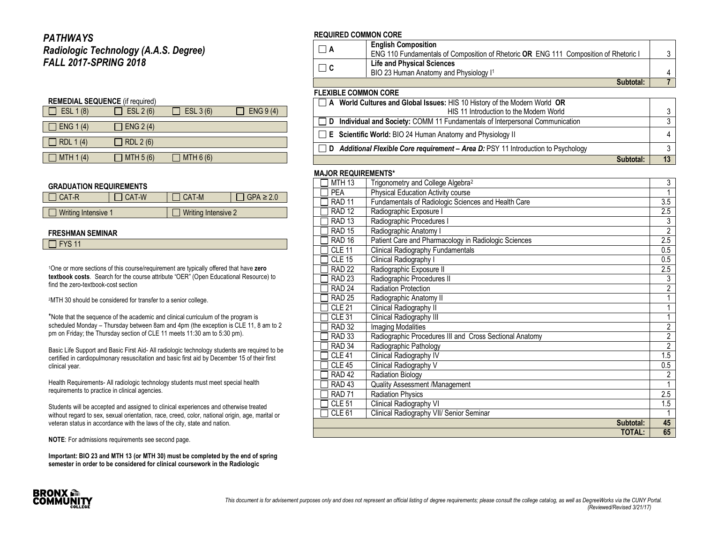### *PATHWAYS Radiologic Technology (A.A.S. Degree) FALL 2017-SPRING 2018*

| <b>REMEDIAL SEQUENCE</b> (if required) |                  |           |            |  |  |  |
|----------------------------------------|------------------|-----------|------------|--|--|--|
| ESL 1 (8)                              | ESL $2(6)$       | ESL 3 (6) | ENG $9(4)$ |  |  |  |
|                                        |                  |           |            |  |  |  |
| ENG 1(4)                               | ENG 2(4)         |           |            |  |  |  |
|                                        |                  |           |            |  |  |  |
| RDL 1 (4)                              | <b>RDL 2 (6)</b> |           |            |  |  |  |
|                                        |                  |           |            |  |  |  |
| MTH 1(4)                               | MTH 5 (6)        | MTH 6(6)  |            |  |  |  |

#### **GRADUATION REQUIREMENTS**

| IICAT-R                    | I CAT-W | I CAT-M                    | $\Box$ GPA $\geq$ 2.0 |
|----------------------------|---------|----------------------------|-----------------------|
|                            |         |                            |                       |
| $\Box$ Writing Intensive 1 |         | $\Box$ Writing Intensive 2 |                       |

#### **FRESHMAN SEMINAR**

| $\Box$ FYS 11 |
|---------------|
|---------------|

<sup>1</sup>One or more sections of this course/requirement are typically offered that have **zero textbook costs**. Search for the course attribute "OER" (Open Educational Resource) to find the zero-textbook-cost section

<sup>2</sup>MTH 30 should be considered for transfer to a senior college.

\*Note that the sequence of the academic and clinical curriculum of the program is scheduled Monday – Thursday between 8am and 4pm (the exception is CLE 11, 8 am to 2 pm on Friday; the Thursday section of CLE 11 meets 11:30 am to 5:30 pm).

Basic Life Support and Basic First Aid- All radiologic technology students are required to be certified in cardiopulmonary resuscitation and basic first aid by December 15 of their first clinical year.

Health Requirements- All radiologic technology students must meet special health requirements to practice in clinical agencies.

Students will be accepted and assigned to clinical experiences and otherwise treated without regard to sex, sexual orientation, race, creed, color, national origin, age, marital or veteran status in accordance with the laws of the city, state and nation.

**NOTE**: For admissions requirements see second page.

**Important: BIO 23 and MTH 13 (or MTH 30) must be completed by the end of spring semester in order to be considered for clinical coursework in the Radiologic** 

### **REQUIRED COMMON CORE**

|                             | <b>English Composition</b>                                                           |  |
|-----------------------------|--------------------------------------------------------------------------------------|--|
|                             | ENG 110 Fundamentals of Composition of Rhetoric OR ENG 111 Composition of Rhetoric I |  |
| $\Box$ $\Box$ $\Box$        | <b>Life and Physical Sciences</b>                                                    |  |
|                             | BIO 23 Human Anatomy and Physiology I <sup>1</sup>                                   |  |
|                             | Subtotal:                                                                            |  |
| <b>FLEXIBLE COMMON CORE</b> |                                                                                      |  |

| □ A World Cultures and Global Issues: HIS 10 History of the Modern World OR               |   |
|-------------------------------------------------------------------------------------------|---|
| HIS 11 Introduction to the Modern World                                                   |   |
| □ D Individual and Society: COMM 11 Fundamentals of Interpersonal Communication           |   |
| $\Box$ <b>E</b> Scientific World: BIO 24 Human Anatomy and Physiology II                  | 4 |
| $\Box$ D Additional Flexible Core requirement – Area D: PSY 11 Introduction to Psychology |   |
| Subtotal:                                                                                 |   |

### **MAJOR REQUIREMENTS\***

| <b>MTH 13</b>     | Trigonometry and College Algebra <sup>2</sup>           | $\overline{3}$   |
|-------------------|---------------------------------------------------------|------------------|
| PEA               | <b>Physical Education Activity course</b>               |                  |
| <b>RAD 11</b>     | Fundamentals of Radiologic Sciences and Health Care     | $\overline{3.5}$ |
| <b>RAD 12</b>     | Radiographic Exposure I                                 | 2.5              |
| <b>RAD 13</b>     | Radiographic Procedures I                               | 3                |
| <b>RAD 15</b>     | Radiographic Anatomy I                                  | $\overline{2}$   |
| <b>RAD 16</b>     | Patient Care and Pharmacology in Radiologic Sciences    | 2.5              |
| <b>CLE 11</b>     | <b>Clinical Radiography Fundamentals</b>                | 0.5              |
| $CLE$ 15          | Clinical Radiography I                                  | 0.5              |
| <b>RAD 22</b>     | Radiographic Exposure II                                | $2.5\,$          |
| <b>RAD 23</b>     | Radiographic Procedures II                              | 3                |
| <b>RAD 24</b>     | <b>Radiation Protection</b>                             | $\overline{2}$   |
| <b>RAD 25</b>     | Radiographic Anatomy II                                 | 1                |
| <b>CLE 21</b>     | Clinical Radiography II                                 | 1                |
| <b>CLE 31</b>     | Clinical Radiography III                                | 1                |
| <b>RAD 32</b>     | <b>Imaging Modalities</b>                               | $\overline{2}$   |
| <b>RAD 33</b>     | Radiographic Procedures III and Cross Sectional Anatomy | $\overline{2}$   |
| RAD <sub>34</sub> | Radiographic Pathology                                  | $\overline{2}$   |
| <b>CLE 41</b>     | Clinical Radiography IV                                 | 1.5              |
| <b>CLE 45</b>     | Clinical Radiography V                                  | $0.5\,$          |
| <b>RAD 42</b>     | <b>Radiation Biology</b>                                | $\overline{2}$   |
| RAD <sub>43</sub> | Quality Assessment /Management                          | 1                |
| <b>RAD 71</b>     | Radiation Physics                                       | 2.5              |
| <b>CLE 51</b>     | Clinical Radiography VI                                 | 1.5              |
| CLE <sub>61</sub> | Clinical Radiography VII/ Senior Seminar                |                  |
|                   | Subtotal:                                               | 45               |
|                   | <b>TOTAL:</b>                                           | 65               |